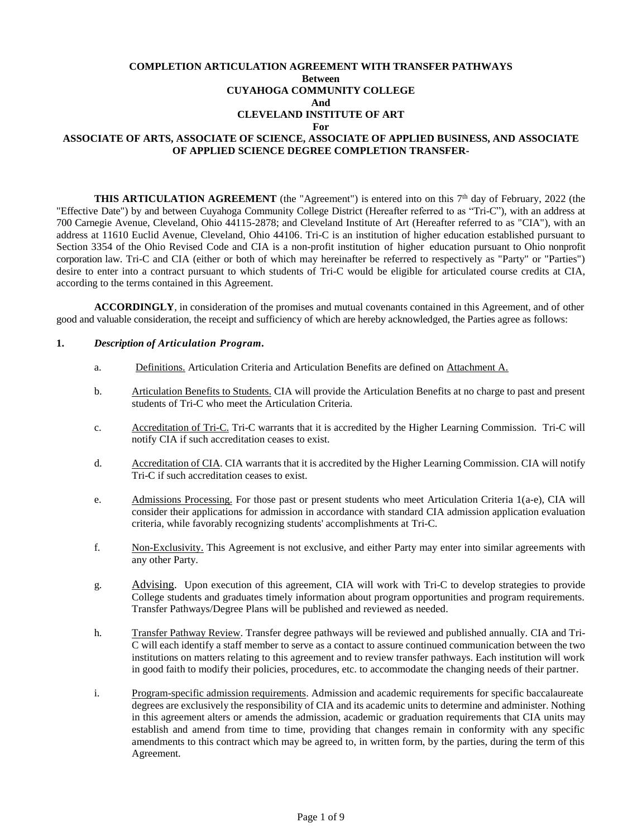### **COMPLETION ARTICULATION AGREEMENT WITH TRANSFER PATHWAYS Between CUYAHOGA COMMUNITY COLLEGE And CLEVELAND INSTITUTE OF ART For ASSOCIATE OF ARTS, ASSOCIATE OF SCIENCE, ASSOCIATE OF APPLIED BUSINESS, AND ASSOCIATE OF APPLIED SCIENCE DEGREE COMPLETION TRANSFER-**

**THIS ARTICULATION AGREEMENT** (the "Agreement") is entered into on this  $7<sup>th</sup>$  day of February, 2022 (the "Effective Date") by and between Cuyahoga Community College District (Hereafter referred to as "Tri-C"), with an address at 700 Carnegie Avenue, Cleveland, Ohio 44115-2878; and Cleveland Institute of Art (Hereafter referred to as "CIA"), with an address at 11610 Euclid Avenue, Cleveland, Ohio 44106. Tri-C is an institution of higher education established pursuant to Section 3354 of the Ohio Revised Code and CIA is a non-profit institution of higher education pursuant to Ohio nonprofit corporation law. Tri-C and CIA (either or both of which may hereinafter be referred to respectively as "Party" or "Parties") desire to enter into a contract pursuant to which students of Tri-C would be eligible for articulated course credits at CIA, according to the terms contained in this Agreement.

**ACCORDINGLY**, in consideration of the promises and mutual covenants contained in this Agreement, and of other good and valuable consideration, the receipt and sufficiency of which are hereby acknowledged, the Parties agree as follows:

### **1.** *Description of Articulation Program.*

- a. Definitions. Articulation Criteria and Articulation Benefits are defined on Attachment A.
- b. Articulation Benefits to Students. CIA will provide the Articulation Benefits at no charge to past and present students of Tri-C who meet the Articulation Criteria.
- c. Accreditation of Tri-C. Tri-C warrants that it is accredited by the Higher Learning Commission. Tri-C will notify CIA if such accreditation ceases to exist.
- d. Accreditation of CIA. CIA warrants that it is accredited by the Higher Learning Commission. CIA will notify Tri-C if such accreditation ceases to exist.
- e. Admissions Processing. For those past or present students who meet Articulation Criteria 1(a-e), CIA will consider their applications for admission in accordance with standard CIA admission application evaluation criteria, while favorably recognizing students' accomplishments at Tri-C.
- f. Non-Exclusivity. This Agreement is not exclusive, and either Party may enter into similar agreements with any other Party.
- g. Advising. Upon execution of this agreement, CIA will work with Tri-C to develop strategies to provide College students and graduates timely information about program opportunities and program requirements. Transfer Pathways/Degree Plans will be published and reviewed as needed.
- h. Transfer Pathway Review. Transfer degree pathways will be reviewed and published annually. CIA and Tri-C will each identify a staff member to serve as a contact to assure continued communication between the two institutions on matters relating to this agreement and to review transfer pathways. Each institution will work in good faith to modify their policies, procedures, etc. to accommodate the changing needs of their partner.
- i. Program-specific admission requirements. Admission and academic requirements for specific baccalaureate degrees are exclusively the responsibility of CIA and its academic units to determine and administer. Nothing in this agreement alters or amends the admission, academic or graduation requirements that CIA units may establish and amend from time to time, providing that changes remain in conformity with any specific amendments to this contract which may be agreed to, in written form, by the parties, during the term of this Agreement.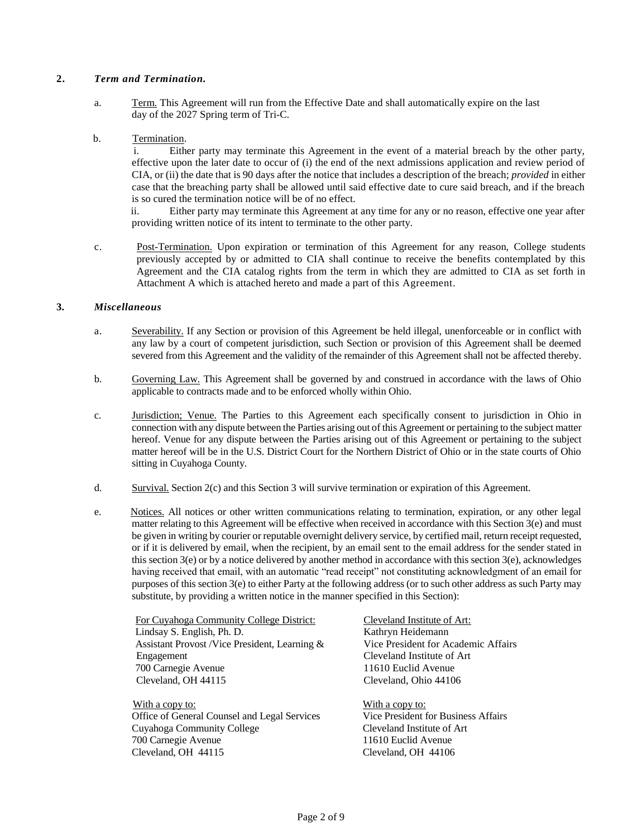### **2.** *Term and Termination.*

a. Term. This Agreement will run from the Effective Date and shall automatically expire on the last day of the 2027 Spring term of Tri-C.

### b. Termination.

 i. Either party may terminate this Agreement in the event of a material breach by the other party, effective upon the later date to occur of (i) the end of the next admissions application and review period of CIA, or (ii) the date that is 90 days after the notice that includes a description of the breach; *provided* in either case that the breaching party shall be allowed until said effective date to cure said breach, and if the breach is so cured the termination notice will be of no effect.

 ii. Either party may terminate this Agreement at any time for any or no reason, effective one year after providing written notice of its intent to terminate to the other party.

c. Post-Termination. Upon expiration or termination of this Agreement for any reason, College students previously accepted by or admitted to CIA shall continue to receive the benefits contemplated by this Agreement and the CIA catalog rights from the term in which they are admitted to CIA as set forth in Attachment A which is attached hereto and made a part of this Agreement.

### **3.** *Miscellaneous*

- a. Severability. If any Section or provision of this Agreement be held illegal, unenforceable or in conflict with any law by a court of competent jurisdiction, such Section or provision of this Agreement shall be deemed severed from this Agreement and the validity of the remainder of this Agreement shall not be affected thereby.
- b. Governing Law. This Agreement shall be governed by and construed in accordance with the laws of Ohio applicable to contracts made and to be enforced wholly within Ohio.
- c. Jurisdiction; Venue. The Parties to this Agreement each specifically consent to jurisdiction in Ohio in connection with any dispute between the Parties arising out of this Agreement or pertaining to the subject matter hereof. Venue for any dispute between the Parties arising out of this Agreement or pertaining to the subject matter hereof will be in the U.S. District Court for the Northern District of Ohio or in the state courts of Ohio sitting in Cuyahoga County.
- d. Survival. Section 2(c) and this Section 3 will survive termination or expiration of this Agreement.
- e. Notices. All notices or other written communications relating to termination, expiration, or any other legal matter relating to this Agreement will be effective when received in accordance with this Section 3(e) and must be given in writing by courier or reputable overnight delivery service, by certified mail, return receipt requested, or if it is delivered by email, when the recipient, by an email sent to the email address for the sender stated in this section 3(e) or by a notice delivered by another method in accordance with this section 3(e), acknowledges having received that email, with an automatic "read receipt" not constituting acknowledgment of an email for purposes of this section 3(e) to either Party at the following address (or to such other address as such Party may substitute, by providing a written notice in the manner specified in this Section):

For Cuyahoga Community College District: Lindsay S. English, Ph. D. Assistant Provost /Vice President, Learning & Engagement 700 Carnegie Avenue Cleveland, OH 44115

With a copy to: Office of General Counsel and Legal Services Cuyahoga Community College 700 Carnegie Avenue Cleveland, OH 44115

Cleveland Institute of Art: Kathryn Heidemann Vice President for Academic Affairs Cleveland Institute of Art 11610 Euclid Avenue Cleveland, Ohio 44106

With a copy to: Vice President for Business Affairs Cleveland Institute of Art 11610 Euclid Avenue Cleveland, OH 44106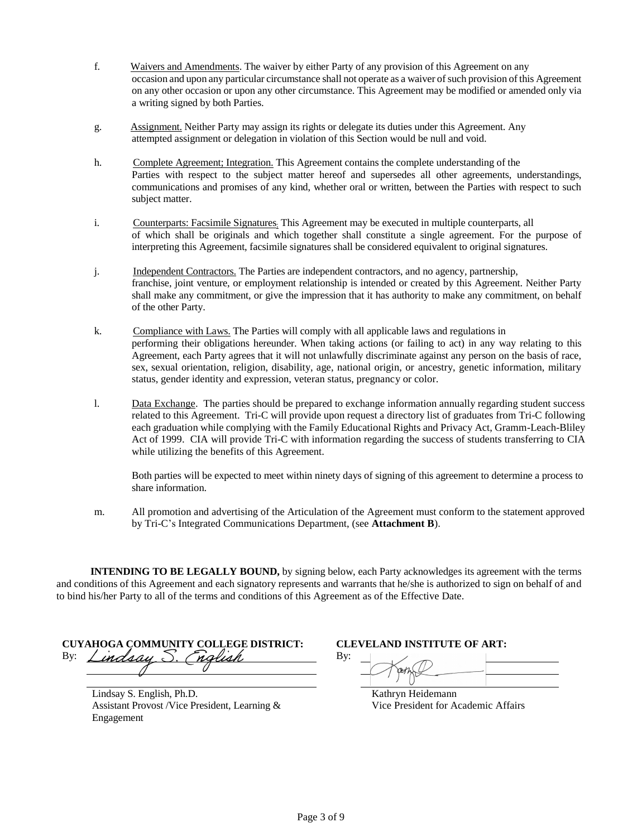- f. Waivers and Amendments. The waiver by either Party of any provision of this Agreement on any occasion and upon any particular circumstance shall not operate as a waiver of such provision of this Agreement on any other occasion or upon any other circumstance. This Agreement may be modified or amended only via a writing signed by both Parties.
- g. Assignment. Neither Party may assign its rights or delegate its duties under this Agreement. Any attempted assignment or delegation in violation of this Section would be null and void.
- h. Complete Agreement; Integration. This Agreement contains the complete understanding of the Parties with respect to the subject matter hereof and supersedes all other agreements, understandings, communications and promises of any kind, whether oral or written, between the Parties with respect to such subject matter.
- i. Counterparts: Facsimile Signatures; This Agreement may be executed in multiple counterparts, all of which shall be originals and which together shall constitute a single agreement. For the purpose of interpreting this Agreement, facsimile signatures shall be considered equivalent to original signatures.
- j. Independent Contractors. The Parties are independent contractors, and no agency, partnership, franchise, joint venture, or employment relationship is intended or created by this Agreement. Neither Party shall make any commitment, or give the impression that it has authority to make any commitment, on behalf of the other Party.
- k. Compliance with Laws. The Parties will comply with all applicable laws and regulations in performing their obligations hereunder. When taking actions (or failing to act) in any way relating to this Agreement, each Party agrees that it will not unlawfully discriminate against any person on the basis of race, sex, sexual orientation, religion, disability, age, national origin, or ancestry, genetic information, military status, gender identity and expression, veteran status, pregnancy or color.
- l. Data Exchange. The parties should be prepared to exchange information annually regarding student success related to this Agreement. Tri-C will provide upon request a directory list of graduates from Tri-C following each graduation while complying with the Family Educational Rights and Privacy Act, Gramm-Leach-Bliley Act of 1999. CIA will provide Tri-C with information regarding the success of students transferring to CIA while utilizing the benefits of this Agreement.

Both parties will be expected to meet within ninety days of signing of this agreement to determine a process to share information.

m. All promotion and advertising of the Articulation of the Agreement must conform to the statement approved by Tri-C's Integrated Communications Department, (see **Attachment B**).

**INTENDING TO BE LEGALLY BOUND,** by signing below, each Party acknowledges its agreement with the terms and conditions of this Agreement and each signatory represents and warrants that he/she is authorized to sign on behalf of and to bind his/her Party to all of the terms and conditions of this Agreement as of the Effective Date.

**CUYAHOGA COMMUNITY COLLEGE DISTRICT: CLEVELAND INSTITUTE OF ART:** By: *Lindsay* S. Chalish By:

Lindsay S. English, Ph.D. Assistant Provost /Vice President, Learning & Engagement

Kathryn Heidemann Vice President for Academic Affairs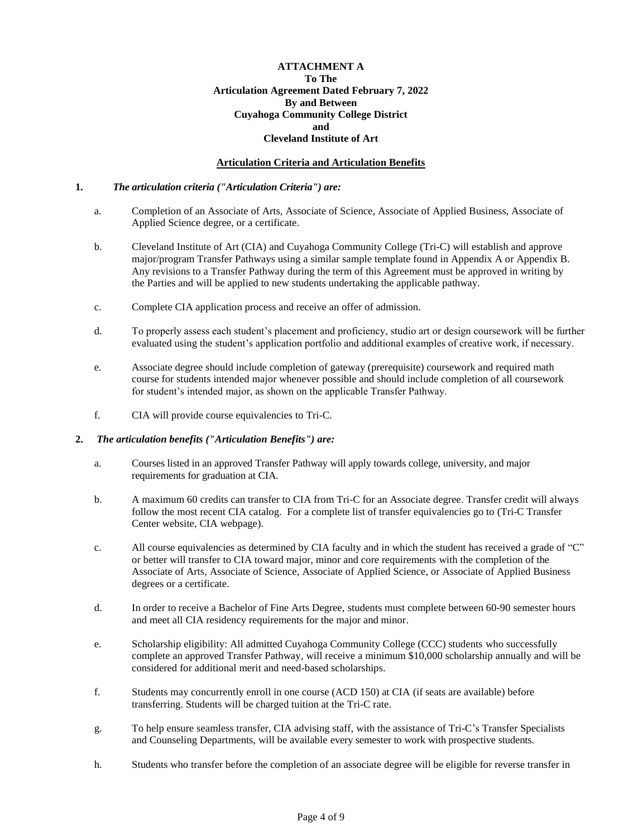### **ATTACHMENT A To The Articulation Agreement Dated February 7, 2022 By and Between Cuyahoga Community College District and Cleveland Institute of Art**

### **Articulation Criteria and Articulation Benefits**

### **1.** *The articulation criteria ("Articulation Criteria") are:*

- a. Completion of an Associate of Arts, Associate of Science, Associate of Applied Business, Associate of Applied Science degree, or a certificate.
- b. Cleveland Institute of Art (CIA) and Cuyahoga Community College (Tri-C) will establish and approve major/program Transfer Pathways using a similar sample template found in Appendix A or Appendix B. Any revisions to a Transfer Pathway during the term of this Agreement must be approved in writing by the Parties and will be applied to new students undertaking the applicable pathway.
- c. Complete CIA application process and receive an offer of admission.
- d. To properly assess each student's placement and proficiency, studio art or design coursework will be further evaluated using the student's application portfolio and additional examples of creative work, if necessary.
- e. Associate degree should include completion of gateway (prerequisite) coursework and required math course for students intended major whenever possible and should include completion of all coursework for student's intended major, as shown on the applicable Transfer Pathway.
- f. CIA will provide course equivalencies to Tri-C.

### **2.** *The articulation benefits ("Articulation Benefits") are:*

- a. Courses listed in an approved Transfer Pathway will apply towards college, university, and major requirements for graduation at CIA.
- b. A maximum 60 credits can transfer to CIA from Tri-C for an Associate degree. Transfer credit will always follow the most recent CIA catalog. For a complete list of transfer equivalencies go to (Tri-C Transfer Center website, CIA webpage).
- c. All course equivalencies as determined by CIA faculty and in which the student has received a grade of "C" or better will transfer to CIA toward major, minor and core requirements with the completion of the Associate of Arts, Associate of Science, Associate of Applied Science, or Associate of Applied Business degrees or a certificate.
- d. In order to receive a Bachelor of Fine Arts Degree, students must complete between 60-90 semester hours and meet all CIA residency requirements for the major and minor.
- e. Scholarship eligibility: All admitted Cuyahoga Community College (CCC) students who successfully complete an approved Transfer Pathway, will receive a minimum \$10,000 scholarship annually and will be considered for additional merit and need-based scholarships.
- f. Students may concurrently enroll in one course (ACD 150) at CIA (if seats are available) before transferring. Students will be charged tuition at the Tri-C rate.
- g. To help ensure seamless transfer, CIA advising staff, with the assistance of Tri-C's Transfer Specialists and Counseling Departments, will be available every semester to work with prospective students.
- h. Students who transfer before the completion of an associate degree will be eligible for reverse transfer in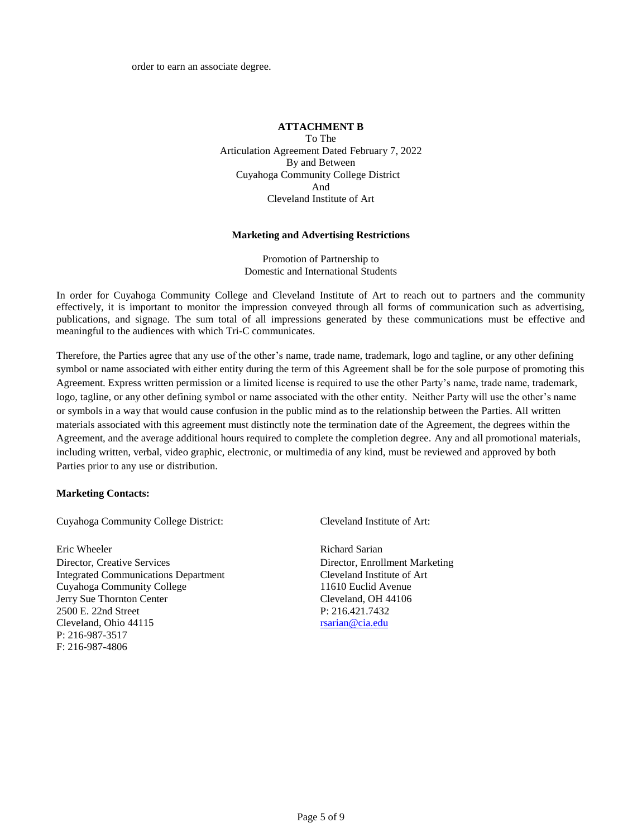order to earn an associate degree.

## **ATTACHMENT B**

To The Articulation Agreement Dated February 7, 2022 By and Between Cuyahoga Community College District And Cleveland Institute of Art

#### **Marketing and Advertising Restrictions**

Promotion of Partnership to Domestic and International Students

In order for Cuyahoga Community College and Cleveland Institute of Art to reach out to partners and the community effectively, it is important to monitor the impression conveyed through all forms of communication such as advertising, publications, and signage. The sum total of all impressions generated by these communications must be effective and meaningful to the audiences with which Tri-C communicates.

Therefore, the Parties agree that any use of the other's name, trade name, trademark, logo and tagline, or any other defining symbol or name associated with either entity during the term of this Agreement shall be for the sole purpose of promoting this Agreement. Express written permission or a limited license is required to use the other Party's name, trade name, trademark, logo, tagline, or any other defining symbol or name associated with the other entity. Neither Party will use the other's name or symbols in a way that would cause confusion in the public mind as to the relationship between the Parties. All written materials associated with this agreement must distinctly note the termination date of the Agreement, the degrees within the Agreement, and the average additional hours required to complete the completion degree. Any and all promotional materials, including written, verbal, video graphic, electronic, or multimedia of any kind, must be reviewed and approved by both Parties prior to any use or distribution.

### **Marketing Contacts:**

Cuyahoga Community College District: Cleveland Institute of Art:

Eric Wheeler Richard Sarian Director, Creative Services Director, Enrollment Marketing Integrated Communications Department Cleveland Institute of Art Cuyahoga Community College 11610 Euclid Avenue Jerry Sue Thornton Center Cleveland, OH 44106 2500 E. 22nd Street P: 216.421.7432 Cleveland, Ohio 44115 [rsarian@cia.edu](mailto:rsarian@cia.edu) P: 216-987-3517 F: 216-987-4806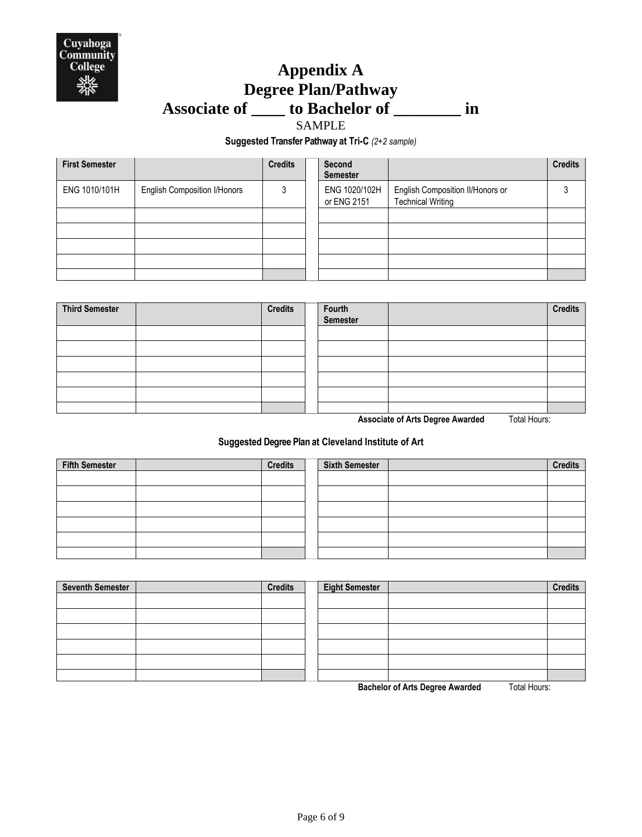

# **Appendix A Degree Plan/Pathway Associate of \_\_\_\_ to Bachelor of \_\_\_\_\_\_\_\_ in**

SAMPLE

**Suggested Transfer Pathway at Tri-C** *(2+2 sample)*

| <b>First Semester</b> |                                     | <b>Credits</b> | <b>Second</b><br><b>Semester</b> |                                                              | <b>Credits</b> |
|-----------------------|-------------------------------------|----------------|----------------------------------|--------------------------------------------------------------|----------------|
| ENG 1010/101H         | <b>English Composition I/Honors</b> | 3              | ENG 1020/102H<br>or ENG 2151     | English Composition II/Honors or<br><b>Technical Writing</b> |                |
|                       |                                     |                |                                  |                                                              |                |
|                       |                                     |                |                                  |                                                              |                |
|                       |                                     |                |                                  |                                                              |                |
|                       |                                     |                |                                  |                                                              |                |
|                       |                                     |                |                                  |                                                              |                |

| <b>Third Semester</b> | <b>Credits</b> | Fourth<br>Semester |           | <b>Credits</b> |
|-----------------------|----------------|--------------------|-----------|----------------|
|                       |                |                    |           |                |
|                       |                |                    |           |                |
|                       |                |                    |           |                |
|                       |                |                    |           |                |
|                       |                |                    |           |                |
|                       |                |                    | $      -$ |                |

**Associate of Arts Degree Awarded** Total Hours:

## **Suggested Degree Plan at Cleveland Institute of Art**

| <b>Fifth Semester</b> | <b>Credits</b> | <b>Sixth Semester</b> | <b>Credits</b> |
|-----------------------|----------------|-----------------------|----------------|
|                       |                |                       |                |
|                       |                |                       |                |
|                       |                |                       |                |
|                       |                |                       |                |
|                       |                |                       |                |
|                       |                |                       |                |

| Seventh Semester | <b>Credits</b> | <b>Eight Semester</b> |                  | <b>Credits</b> |
|------------------|----------------|-----------------------|------------------|----------------|
|                  |                |                       |                  |                |
|                  |                |                       |                  |                |
|                  |                |                       |                  |                |
|                  |                |                       |                  |                |
|                  |                |                       |                  |                |
|                  |                |                       | _ _<br>$      -$ |                |

**Bachelor of Arts Degree Awarded** Total Hours: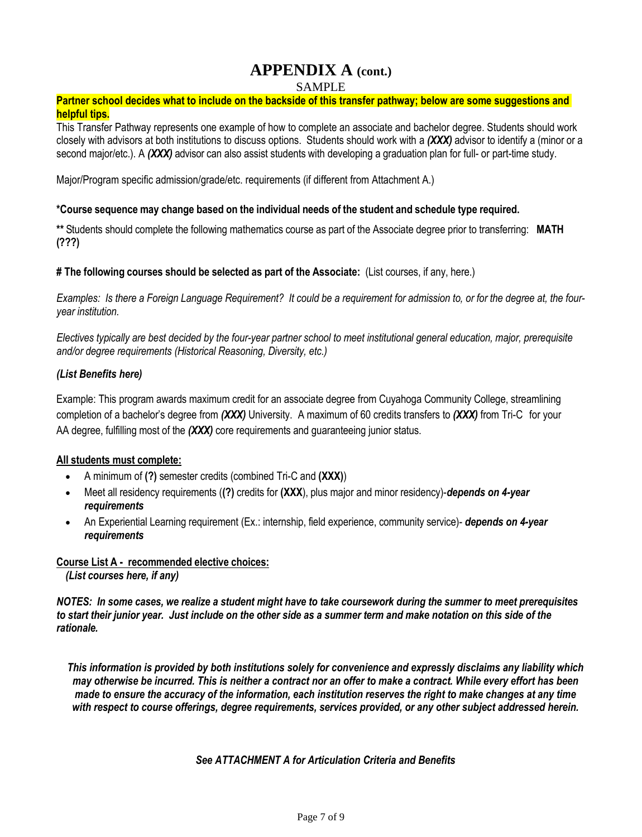## **APPENDIX A (cont.)**

SAMPLE

## **Partner school decides what to include on the backside of this transfer pathway; below are some suggestions and helpful tips.**

This Transfer Pathway represents one example of how to complete an associate and bachelor degree. Students should work closely with advisors at both institutions to discuss options. Students should work with a *(XXX)* advisor to identify a (minor or a second major/etc.). A *(XXX)* advisor can also assist students with developing a graduation plan for full- or part-time study.

Major/Program specific admission/grade/etc. requirements (if different from Attachment A.)

## **\*Course sequence may change based on the individual needs of the student and schedule type required.**

**\*\*** Students should complete the following mathematics course as part of the Associate degree prior to transferring: **MATH (???)**

### **# The following courses should be selected as part of the Associate:** (List courses, if any, here.)

*Examples: Is there a Foreign Language Requirement? It could be a requirement for admission to, or for the degree at, the fouryear institution.*

*Electives typically are best decided by the four-year partner school to meet institutional general education, major, prerequisite and/or degree requirements (Historical Reasoning, Diversity, etc.)*

## *(List Benefits here)*

Example: This program awards maximum credit for an associate degree from Cuyahoga Community College, streamlining completion of a bachelor's degree from *(XXX)* University. A maximum of 60 credits transfers to *(XXX)* from Tri-C for your AA degree, fulfilling most of the *(XXX)* core requirements and guaranteeing junior status.

## **All students must complete:**

- A minimum of **(?)** semester credits (combined Tri-C and **(XXX)**)
- Meet all residency requirements (**(?)** credits for **(XXX**), plus major and minor residency)-*depends on 4-year requirements*
- An Experiential Learning requirement (Ex.: internship, field experience, community service)- *depends on 4-year requirements*

## **Course List A - recommended elective choices:**

*(List courses here, if any)*

*NOTES: In some cases, we realize a student might have to take coursework during the summer to meet prerequisites to start their junior year. Just include on the other side as a summer term and make notation on this side of the rationale.*

*This information is provided by both institutions solely for convenience and expressly disclaims any liability which may otherwise be incurred. This is neither a contract nor an offer to make a contract. While every effort has been made to ensure the accuracy of the information, each institution reserves the right to make changes at any time with respect to course offerings, degree requirements, services provided, or any other subject addressed herein.*

*See ATTACHMENT A for Articulation Criteria and Benefits*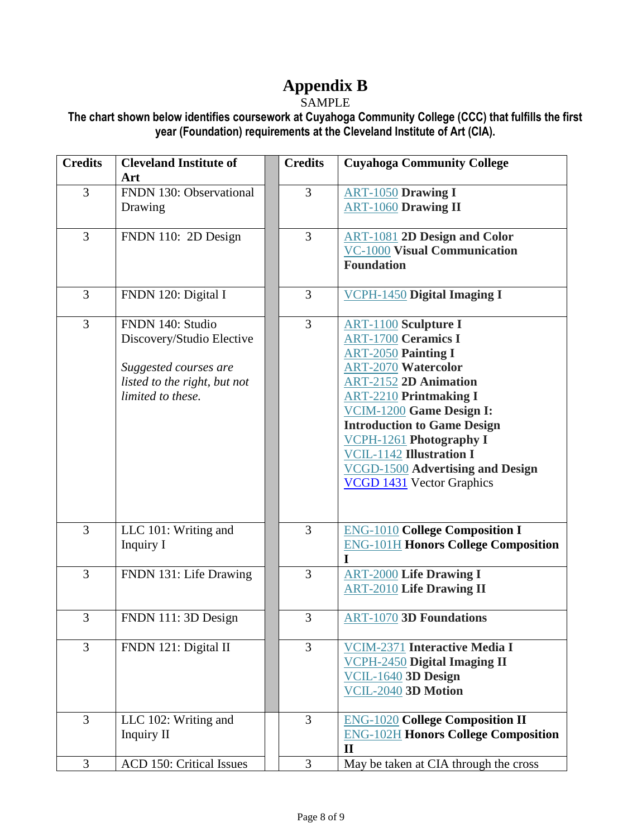# **Appendix B**

## SAMPLE

**The chart shown below identifies coursework at Cuyahoga Community College (CCC) that fulfills the first year (Foundation) requirements at the Cleveland Institute of Art (CIA).** 

| <b>Credits</b> | <b>Cleveland Institute of</b><br>Art                                                                                        | <b>Credits</b> | <b>Cuyahoga Community College</b>                                                                                                                                                                                                                                                                                                                                                                            |
|----------------|-----------------------------------------------------------------------------------------------------------------------------|----------------|--------------------------------------------------------------------------------------------------------------------------------------------------------------------------------------------------------------------------------------------------------------------------------------------------------------------------------------------------------------------------------------------------------------|
| 3              | FNDN 130: Observational<br>Drawing                                                                                          | 3              | <b>ART-1050 Drawing I</b><br><b>ART-1060 Drawing II</b>                                                                                                                                                                                                                                                                                                                                                      |
| 3              | FNDN 110: 2D Design                                                                                                         | 3              | <b>ART-1081 2D Design and Color</b><br><b>VC-1000 Visual Communication</b><br><b>Foundation</b>                                                                                                                                                                                                                                                                                                              |
| 3              | FNDN 120: Digital I                                                                                                         | 3              | <b>VCPH-1450 Digital Imaging I</b>                                                                                                                                                                                                                                                                                                                                                                           |
| 3              | FNDN 140: Studio<br>Discovery/Studio Elective<br>Suggested courses are<br>listed to the right, but not<br>limited to these. | 3              | <b>ART-1100</b> Sculpture I<br><b>ART-1700 Ceramics I</b><br><b>ART-2050 Painting I</b><br><b>ART-2070 Watercolor</b><br><b>ART-2152 2D Animation</b><br><b>ART-2210 Printmaking I</b><br>VCIM-1200 Game Design I:<br><b>Introduction to Game Design</b><br><b>VCPH-1261</b> Photography I<br><b>VCIL-1142 Illustration I</b><br><b>VCGD-1500 Advertising and Design</b><br><b>VCGD 1431</b> Vector Graphics |
| 3              | LLC 101: Writing and<br>Inquiry I                                                                                           | 3              | <b>ENG-1010 College Composition I</b><br><b>ENG-101H Honors College Composition</b><br>I                                                                                                                                                                                                                                                                                                                     |
| 3              | FNDN 131: Life Drawing                                                                                                      | 3              | <b>ART-2000 Life Drawing I</b><br><b>ART-2010 Life Drawing II</b>                                                                                                                                                                                                                                                                                                                                            |
| 3              | FNDN 111: 3D Design                                                                                                         | 3              | <b>ART-1070 3D Foundations</b>                                                                                                                                                                                                                                                                                                                                                                               |
| 3              | FNDN 121: Digital II                                                                                                        | 3              | <b>VCIM-2371 Interactive Media I</b><br><b>VCPH-2450 Digital Imaging II</b><br>VCIL-1640 3D Design<br>VCIL-2040 3D Motion                                                                                                                                                                                                                                                                                    |
| 3              | LLC 102: Writing and<br>Inquiry II                                                                                          | 3              | <b>ENG-1020 College Composition II</b><br><b>ENG-102H Honors College Composition</b><br>$\mathbf{I}$                                                                                                                                                                                                                                                                                                         |
| 3              | ACD 150: Critical Issues                                                                                                    | 3              | May be taken at CIA through the cross                                                                                                                                                                                                                                                                                                                                                                        |